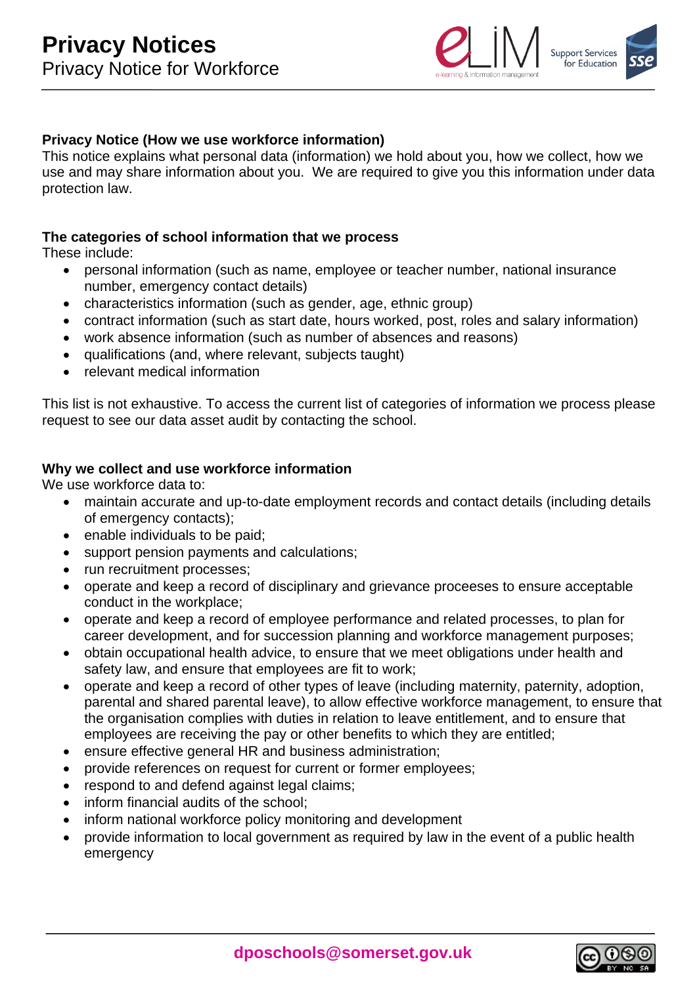

## **Privacy Notice (How we use workforce information)**

This notice explains what personal data (information) we hold about you, how we collect, how we use and may share information about you. We are required to give you this information under data protection law.

### **The categories of school information that we process**

These include:

- personal information (such as name, employee or teacher number, national insurance number, emergency contact details)
- characteristics information (such as gender, age, ethnic group)
- contract information (such as start date, hours worked, post, roles and salary information)
- work absence information (such as number of absences and reasons)
- qualifications (and, where relevant, subjects taught)
- relevant medical information

This list is not exhaustive. To access the current list of categories of information we process please request to see our data asset audit by contacting the school.

### **Why we collect and use workforce information**

We use workforce data to:

- maintain accurate and up-to-date employment records and contact details (including details of emergency contacts);
- enable individuals to be paid:
- support pension payments and calculations;
- run recruitment processes;
- operate and keep a record of disciplinary and grievance proceeses to ensure acceptable conduct in the workplace;
- operate and keep a record of employee performance and related processes, to plan for career development, and for succession planning and workforce management purposes;
- obtain occupational health advice, to ensure that we meet obligations under health and safety law, and ensure that employees are fit to work;
- operate and keep a record of other types of leave (including maternity, paternity, adoption, parental and shared parental leave), to allow effective workforce management, to ensure that the organisation complies with duties in relation to leave entitlement, and to ensure that employees are receiving the pay or other benefits to which they are entitled;
- ensure effective general HR and business administration;
- provide references on request for current or former employees;
- respond to and defend against legal claims;
- inform financial audits of the school;
- inform national workforce policy monitoring and development
- provide information to local government as required by law in the event of a public health emergency

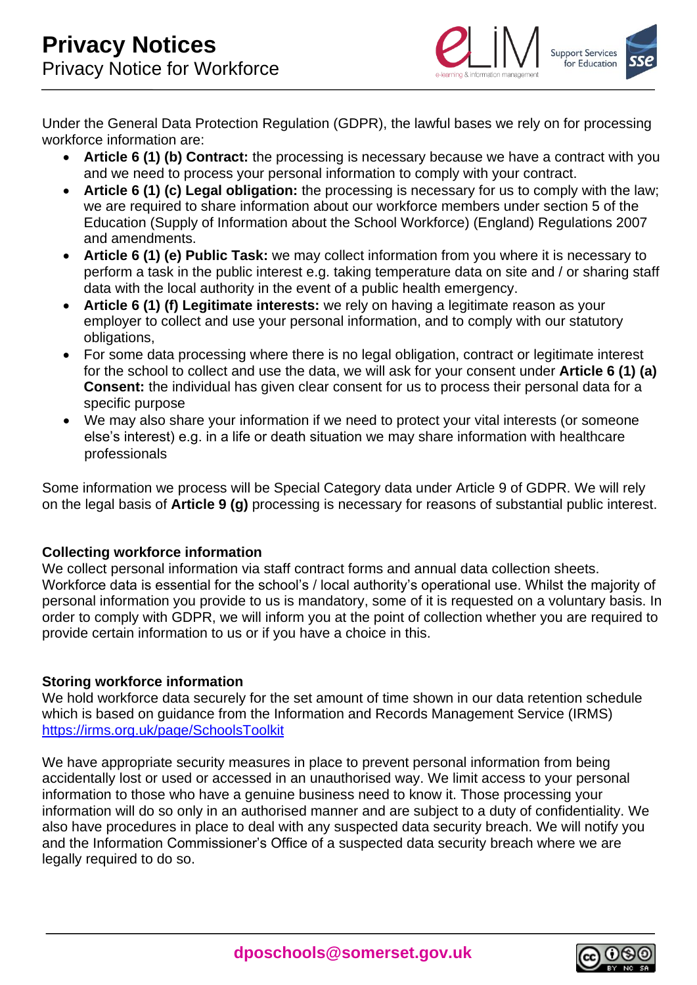

Under the General Data Protection Regulation (GDPR), the lawful bases we rely on for processing workforce information are:

- **Article 6 (1) (b) Contract:** the processing is necessary because we have a contract with you and we need to process your personal information to comply with your contract.
- **Article 6 (1) (c) Legal obligation:** the processing is necessary for us to comply with the law; we are required to share information about our workforce members under section 5 of the Education (Supply of Information about the School Workforce) (England) Regulations 2007 and amendments.
- **Article 6 (1) (e) Public Task:** we may collect information from you where it is necessary to perform a task in the public interest e.g. taking temperature data on site and / or sharing staff data with the local authority in the event of a public health emergency.
- **Article 6 (1) (f) Legitimate interests:** we rely on having a legitimate reason as your employer to collect and use your personal information, and to comply with our statutory obligations,
- For some data processing where there is no legal obligation, contract or legitimate interest for the school to collect and use the data, we will ask for your consent under **Article 6 (1) (a) Consent:** the individual has given clear consent for us to process their personal data for a specific purpose
- We may also share your information if we need to protect your vital interests (or someone else's interest) e.g. in a life or death situation we may share information with healthcare professionals

Some information we process will be Special Category data under Article 9 of GDPR. We will rely on the legal basis of **Article 9 (g)** processing is necessary for reasons of substantial public interest.

# **Collecting workforce information**

We collect personal information via staff contract forms and annual data collection sheets. Workforce data is essential for the school's / local authority's operational use. Whilst the majority of personal information you provide to us is mandatory, some of it is requested on a voluntary basis. In order to comply with GDPR, we will inform you at the point of collection whether you are required to provide certain information to us or if you have a choice in this.

### **Storing workforce information**

We hold workforce data securely for the set amount of time shown in our data retention schedule which is based on guidance from the Information and Records Management Service (IRMS) <https://irms.org.uk/page/SchoolsToolkit>

We have appropriate security measures in place to prevent personal information from being accidentally lost or used or accessed in an unauthorised way. We limit access to your personal information to those who have a genuine business need to know it. Those processing your information will do so only in an authorised manner and are subject to a duty of confidentiality. We also have procedures in place to deal with any suspected data security breach. We will notify you and the Information Commissioner's Office of a suspected data security breach where we are legally required to do so.

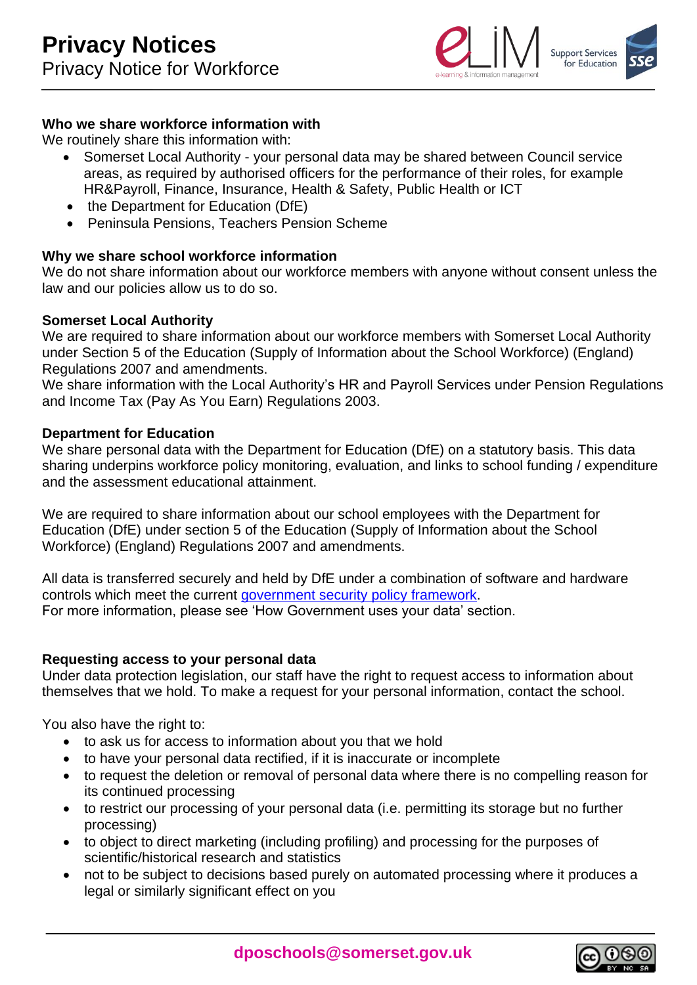

## **Who we share workforce information with**

We routinely share this information with:

- Somerset Local Authority your personal data may be shared between Council service areas, as required by authorised officers for the performance of their roles, for example HR&Payroll, Finance, Insurance, Health & Safety, Public Health or ICT
- the Department for Education (DfE)
- Peninsula Pensions, Teachers Pension Scheme

### **Why we share school workforce information**

We do not share information about our workforce members with anyone without consent unless the law and our policies allow us to do so.

### **Somerset Local Authority**

We are required to share information about our workforce members with Somerset Local Authority under Section 5 of the Education (Supply of Information about the School Workforce) (England) Regulations 2007 and amendments.

We share information with the Local Authority's HR and Payroll Services under Pension Regulations and Income Tax (Pay As You Earn) Regulations 2003.

### **Department for Education**

We share personal data with the Department for Education (DfE) on a statutory basis. This data sharing underpins workforce policy monitoring, evaluation, and links to school funding / expenditure and the assessment educational attainment.

We are required to share information about our school employees with the Department for Education (DfE) under section 5 of the Education (Supply of Information about the School Workforce) (England) Regulations 2007 and amendments.

All data is transferred securely and held by DfE under a combination of software and hardware controls which meet the current [government security policy framework.](https://www.gov.uk/government/publications/security-policy-framework) For more information, please see 'How Government uses your data' section.

### **Requesting access to your personal data**

Under data protection legislation, our staff have the right to request access to information about themselves that we hold. To make a request for your personal information, contact the school.

You also have the right to:

- to ask us for access to information about you that we hold
- to have your personal data rectified, if it is inaccurate or incomplete
- to request the deletion or removal of personal data where there is no compelling reason for its continued processing
- to restrict our processing of your personal data (i.e. permitting its storage but no further processing)
- to object to direct marketing (including profiling) and processing for the purposes of scientific/historical research and statistics
- not to be subject to decisions based purely on automated processing where it produces a legal or similarly significant effect on you

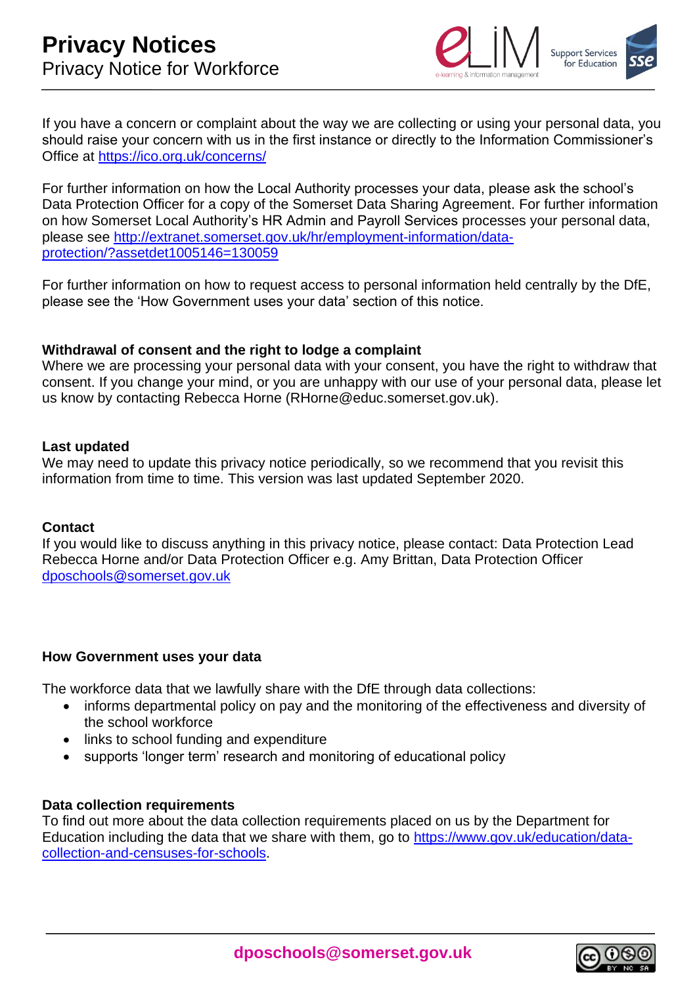

If you have a concern or complaint about the way we are collecting or using your personal data, you should raise your concern with us in the first instance or directly to the Information Commissioner's Office at<https://ico.org.uk/concerns/>

For further information on how the Local Authority processes your data, please ask the school's Data Protection Officer for a copy of the Somerset Data Sharing Agreement. For further information on how Somerset Local Authority's HR Admin and Payroll Services processes your personal data, please see [http://extranet.somerset.gov.uk/hr/employment-information/data](http://extranet.somerset.gov.uk/hr/employment-information/data-protection/?assetdet1005146=130059)[protection/?assetdet1005146=130059](http://extranet.somerset.gov.uk/hr/employment-information/data-protection/?assetdet1005146=130059)

For further information on how to request access to personal information held centrally by the DfE, please see the 'How Government uses your data' section of this notice.

### **Withdrawal of consent and the right to lodge a complaint**

Where we are processing your personal data with your consent, you have the right to withdraw that consent. If you change your mind, or you are unhappy with our use of your personal data, please let us know by contacting Rebecca Horne (RHorne@educ.somerset.gov.uk).

### **Last updated**

We may need to update this privacy notice periodically, so we recommend that you revisit this information from time to time. This version was last updated September 2020.

### **Contact**

If you would like to discuss anything in this privacy notice, please contact: Data Protection Lead Rebecca Horne and/or Data Protection Officer e.g. Amy Brittan, Data Protection Officer [dposchools@somerset.gov.uk](mailto:dposchools@somerset.gov.uk)

### **How Government uses your data**

The workforce data that we lawfully share with the DfE through data collections:

- informs departmental policy on pay and the monitoring of the effectiveness and diversity of the school workforce
- links to school funding and expenditure
- supports 'longer term' research and monitoring of educational policy

#### **Data collection requirements**

To find out more about the data collection requirements placed on us by the Department for Education including the data that we share with them, go to [https://www.gov.uk/education/data](https://www.gov.uk/education/data-collection-and-censuses-for-schools)[collection-and-censuses-for-schools.](https://www.gov.uk/education/data-collection-and-censuses-for-schools)